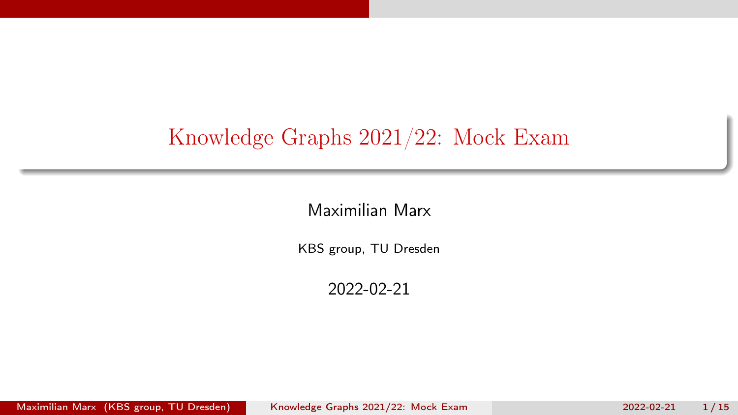# <span id="page-0-0"></span>Knowledge Graphs 2021/22: Mock Exam

Maximilian Marx

KBS group, TU Dresden

2022-02-21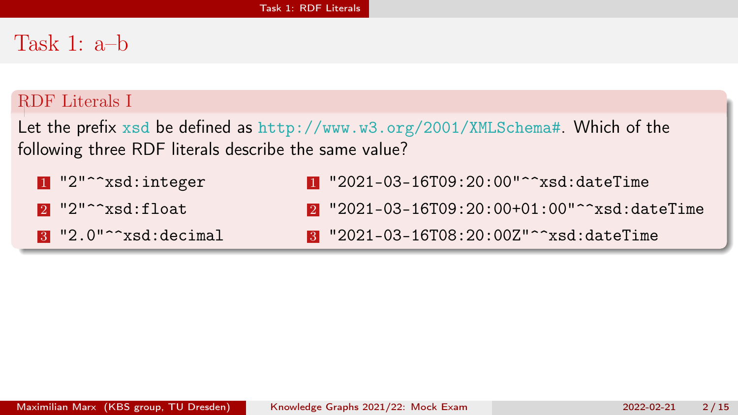## <span id="page-1-0"></span>Task 1: a–b

### RDF Literals I

Let the prefix xsd be defined as http://www.w3.org/2001/XMLSchema#. Which of the following three RDF literals describe the same value?

- 1 "2"^^xsd:integer
- $2$  "2"^^xsd:float
- **3** "2.0"^^xsd:decimal
- 1 "2021-03-16T09:20:00"^^xsd:dateTime
- 2 "2021-03-16T09:20:00+01:00"^^xsd:dateTime
- 3 "2021-03-16T08:20:00Z"^^xsd:dateTime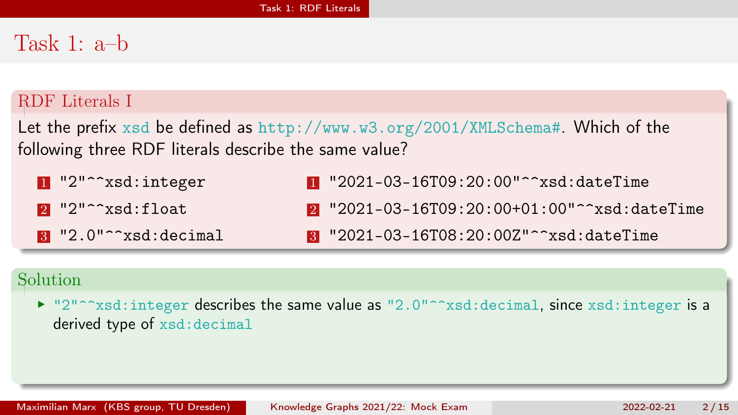## Task 1: a–b

### RDF Literals I

Let the prefix xsd be defined as http://www.w3.org/2001/XMLSchema#. Which of the following three RDF literals describe the same value?

1 "2"^^xsd:integer  $2$  "2"^^xsd:float 3 "2.0"^^xsd:decimal 1 "2021-03-16T09:20:00"^^xsd:dateTime 2 "2021-03-16T09:20:00+01:00"^^xsd:dateTime 3 "2021-03-16T08:20:00Z"^^xsd:dateTime

### Solution

 $\blacktriangleright$  "2"^^xsd:integer describes the same value as "2.0"^^xsd:decimal, since xsd:integer is a derived type of xsd:decimal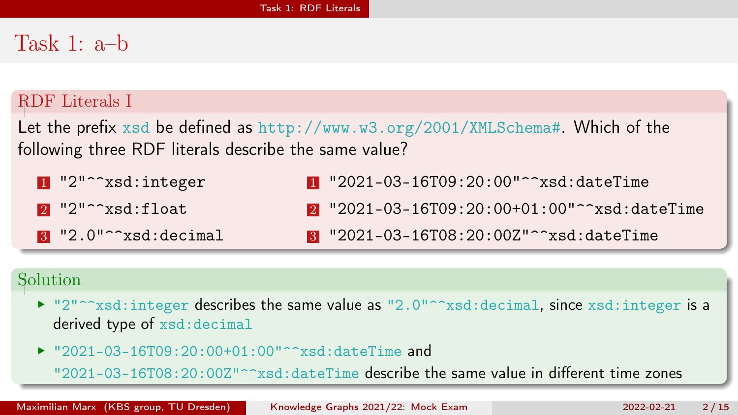# Task 1: a–b

### RDF Literals I

Let the prefix xsd be defined as http://www.w3.org/2001/XMLSchema#. Which of the following three RDF literals describe the same value?

1 "2"^^xsd:integer  $2$  "2"^^xsd:float 3 "2.0"^^xsd:decimal 1 "2021-03-16T09:20:00"^^xsd:dateTime 2 "2021-03-16T09:20:00+01:00"^^xsd:dateTime

#### 3 "2021-03-16T08:20:00Z"^^xsd:dateTime

### Solution

- $\blacktriangleright$  "2"^^xsd:integer describes the same value as "2.0"^^xsd:decimal, since xsd:integer is a derived type of xsd:decimal
- ▶ "2021-03-16T09:20:00+01:00"^^xsd:dateTime and

"2021-03-16T08:20:00Z"^^xsd:dateTime describe the same value in different time zones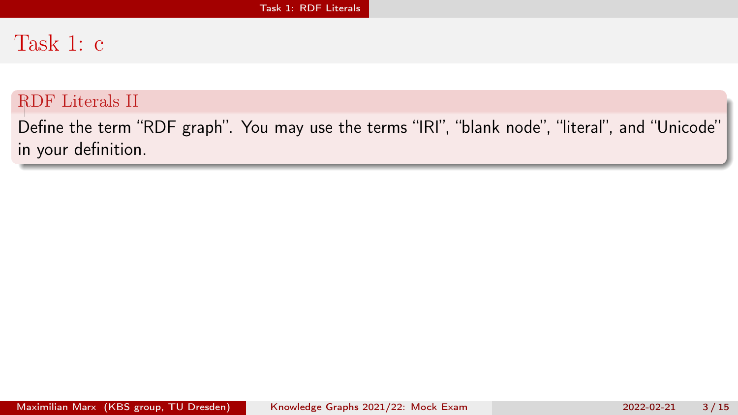## Task 1: c

#### RDF Literals II

Define the term "RDF graph". You may use the terms "IRI", "blank node", "literal", and "Unicode" in your definition.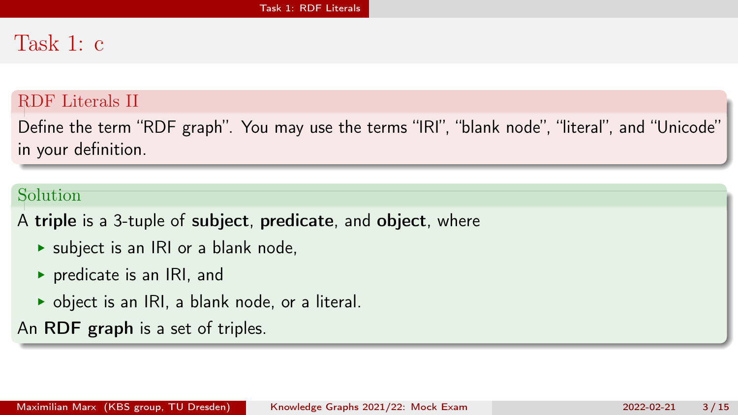# Task 1: c

#### RDF Literals II

Define the term "RDF graph". You may use the terms "IRI", "blank node", "literal", and "Unicode" in your definition.

### Solution

A triple is a 3-tuple of subject, predicate, and object, where

- $\triangleright$  subject is an IRI or a blank node,
- $\triangleright$  predicate is an IRI, and
- $\triangleright$  object is an IRI, a blank node, or a literal.

An RDF graph is a set of triples.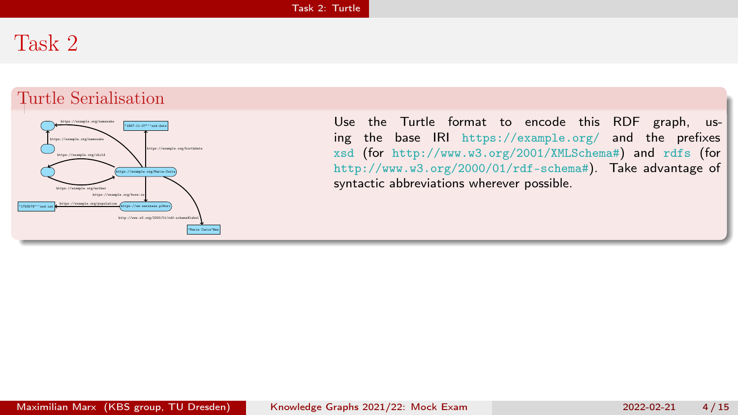## <span id="page-6-0"></span>Task 2

#### Turtle Serialisation



Use the Turtle format to encode this RDF graph, using the base IRI https://example.org/ and the prefixes xsd (for http://www.w3.org/2001/XMLSchema#) and rdfs (for http://www.w3.org/2000/01/rdf-schema#). Take advantage of syntactic abbreviations wherever possible.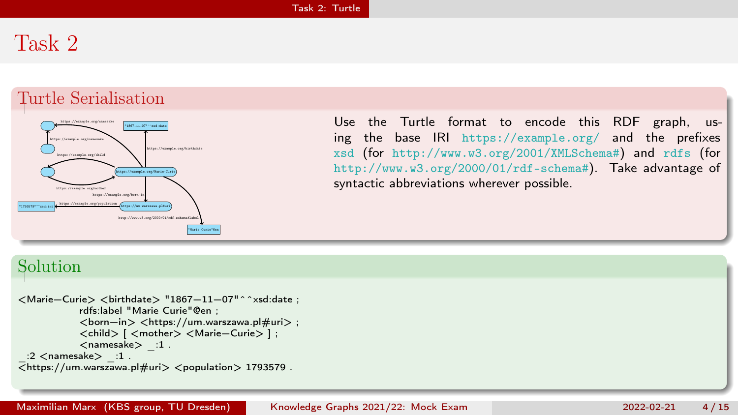## Task 2

#### Turtle Serialisation



Use the Turtle format to encode this RDF graph, using the base IRI https://example.org/ and the prefixes xsd (for http://www.w3.org/2001/XMLSchema#) and rdfs (for http://www.w3.org/2000/01/rdf-schema#). Take advantage of syntactic abbreviations wherever possible.

#### Solution

```
<Marie−Curie> <birthdate> "1867−11−07"^^xsd:date ;
           rdfs:label "Marie Curie"@en ;
           <born−in> <https://um.warszawa.pl#uri> ;
           <child> [ <mother> <Marie−Curie> ] ;
           <namesake> :1.
 :2 <namesake> :1.
\overline{ https://um.warszawa.pl#uri> <population> 1793579.
```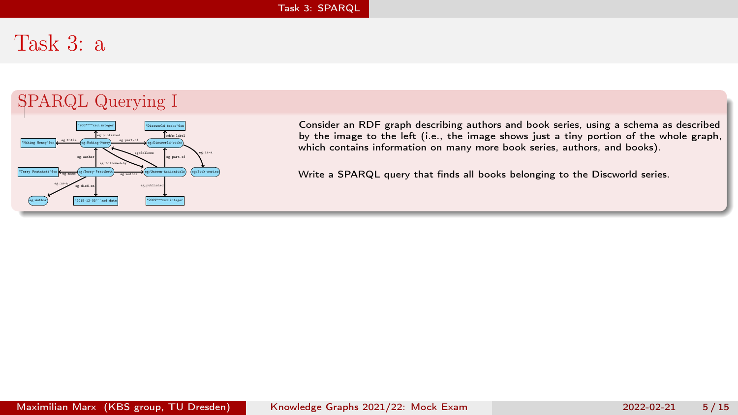### <span id="page-8-0"></span>Task 3: a

### SPARQL Querying I



Consider an RDF graph describing authors and book series, using a schema as described by the image to the left (i.e., the image shows just a tiny portion of the whole graph, which contains information on many more book series, authors, and books).

Write a SPARQL query that finds all books belonging to the Discworld series.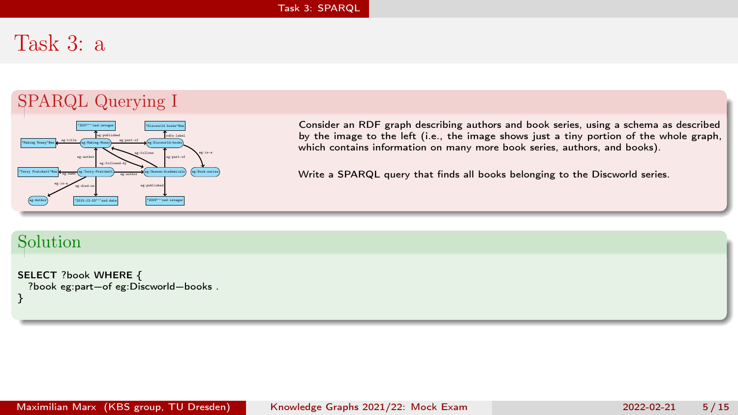## Task 3: a

### SPARQL Querying I



Consider an RDF graph describing authors and book series, using a schema as described by the image to the left (i.e., the image shows just a tiny portion of the whole graph, which contains information on many more book series, authors, and books).

Write a SPARQL query that finds all books belonging to the Discworld series.

### Solution

SELECT ?book WHERE { ?book eg:part−of eg:Discworld−books . }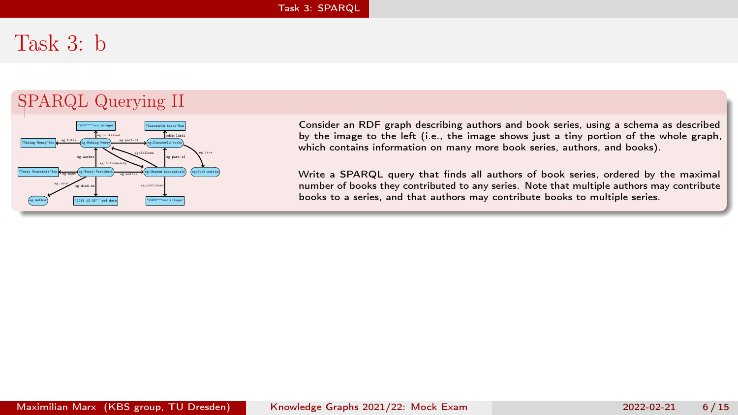## Task 3: b

### SPARQL Querying II



Consider an RDF graph describing authors and book series, using a schema as described by the image to the left (i.e., the image shows just a tiny portion of the whole graph, which contains information on many more book series, authors, and books).

Write a SPARQL query that finds all authors of book series, ordered by the maximal number of books they contributed to any series. Note that multiple authors may contribute books to a series, and that authors may contribute books to multiple series.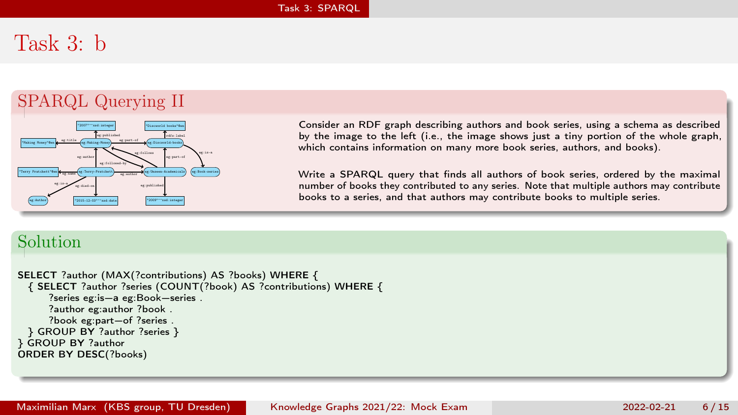# Task 3: b

### SPARQL Querying II



Consider an RDF graph describing authors and book series, using a schema as described by the image to the left (i.e., the image shows just a tiny portion of the whole graph, which contains information on many more book series, authors, and books).

Write a SPARQL query that finds all authors of book series, ordered by the maximal number of books they contributed to any series. Note that multiple authors may contribute books to a series, and that authors may contribute books to multiple series.

### Solution

```
SELECT ?author (MAX(?contributions) AS ?books) WHERE {
 { SELECT ?author ?series (COUNT(?book) AS ?contributions) WHERE {
     ?series eg:is−a eg:Book−series .
     ?author eg:author ?book .
     ?book eg:part−of ?series .
 } GROUP BY ?author ?series }
} GROUP BY ?author
ORDER BY DESC(?books)
```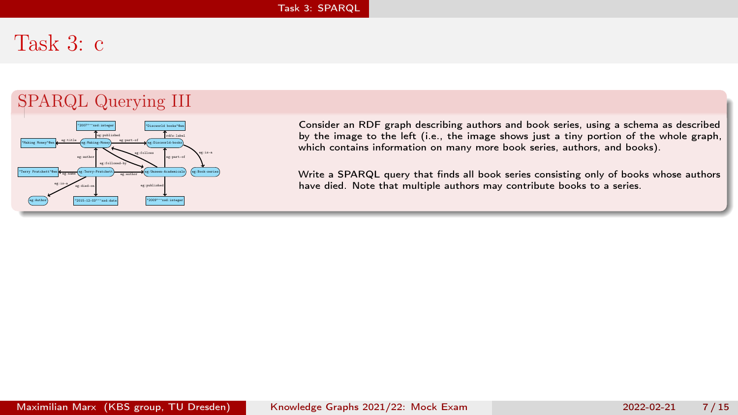## Task 3: c

### SPARQL Querying III



Consider an RDF graph describing authors and book series, using a schema as described by the image to the left (i.e., the image shows just a tiny portion of the whole graph, which contains information on many more book series, authors, and books).

Write a SPARQL query that finds all book series consisting only of books whose authors have died. Note that multiple authors may contribute books to a series.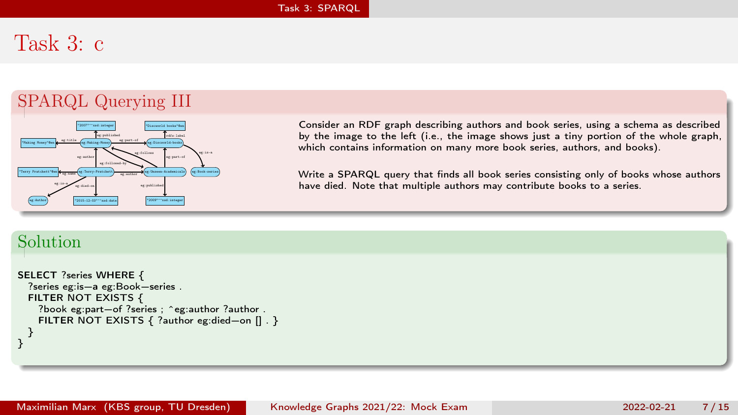# Task 3: c

### SPARQL Querying III



Consider an RDF graph describing authors and book series, using a schema as described by the image to the left (i.e., the image shows just a tiny portion of the whole graph, which contains information on many more book series, authors, and books).

Write a SPARQL query that finds all book series consisting only of books whose authors have died. Note that multiple authors may contribute books to a series.

#### Solution

```
SELECT ?series WHERE {
 ?series eg:is−a eg:Book−series .
 FILTER NOT EXISTS {
    ?book eg:part−of ?series ; ^eg:author ?author .
   FILTER NOT EXISTS { ?author eg:died−on [] . }
  }
}
```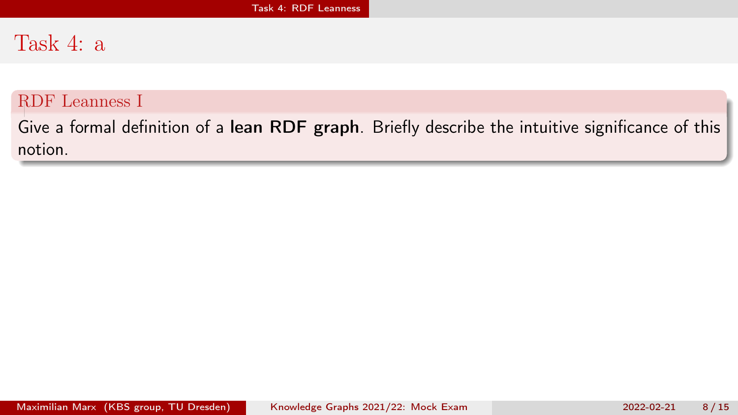### <span id="page-14-0"></span>Task 4: a

#### RDF Leanness I

Give a formal definition of a lean RDF graph. Briefly describe the intuitive significance of this notion.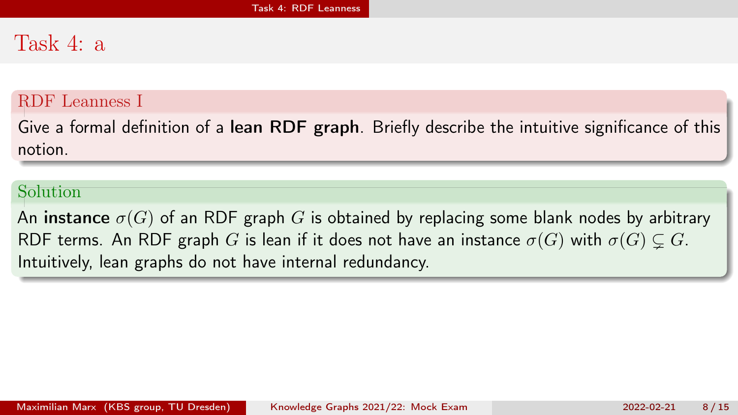### Task 4: a

#### RDF Leanness I

Give a formal definition of a lean RDF graph. Briefly describe the intuitive significance of this notion.

#### Solution

An instance  $\sigma(G)$  of an RDF graph G is obtained by replacing some blank nodes by arbitrary RDF terms. An RDF graph G is lean if it does not have an instance  $\sigma(G)$  with  $\sigma(G) \subsetneq G$ . Intuitively, lean graphs do not have internal redundancy.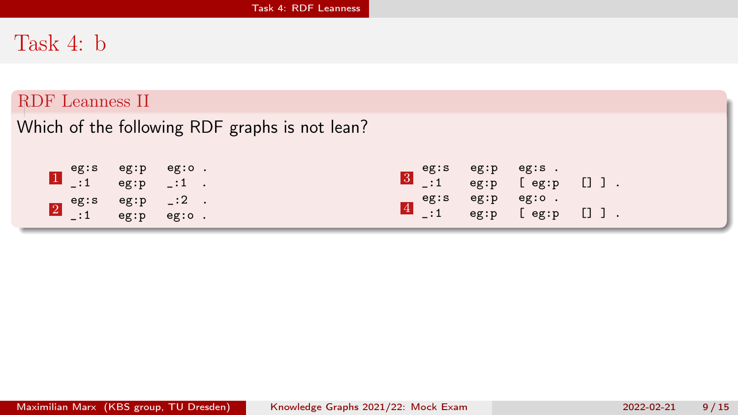# Task 4: b

#### RDF Leanness II

Which of the following RDF graphs is not lean?

| eg:s eg:p eg:o.<br>$\boxed{1}$ _:1 eg:p _:1.                  |  |  | eg:s eg:p eg:s.<br>$3 \quad .1 \quad$ eg:p [eg:p []]. |  |
|---------------------------------------------------------------|--|--|-------------------------------------------------------|--|
| <b>2</b> eg:s eg:p $-$ :2 $\cdot$<br>$-$ :1 eg:p eg:o $\cdot$ |  |  | eg:s eg:p eg:o.<br>$\frac{4}{1}$ :1 eg:p [eg:p []].   |  |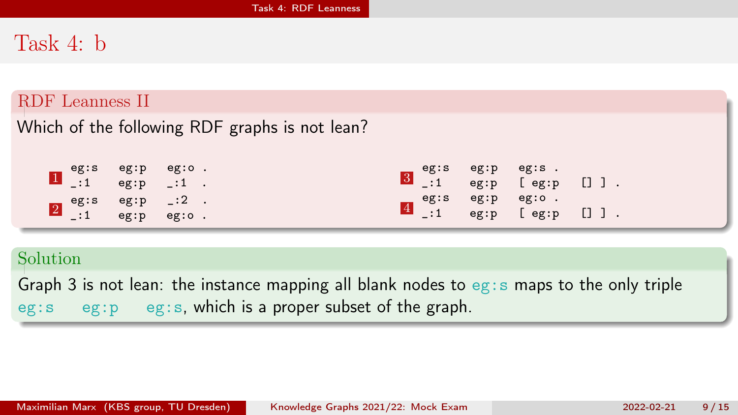### Task 4: b

#### RDF Leanness II

Which of the following RDF graphs is not lean?

| eg:s eg:p eg:o.<br>$\boxed{\cdot}$ = :1 eg:p = :1 .                                                    |  | eg:s eg:p eg:s .<br>$\begin{bmatrix} 3 \\ -1 \end{bmatrix}$ .1 eg:p [eg:p []]. |  |  |
|--------------------------------------------------------------------------------------------------------|--|--------------------------------------------------------------------------------|--|--|
| $\begin{bmatrix} 2 & \text{eg:s} & \text{eg:p} & -:2 \\ -:1 & \text{eg:p} & \text{eg:o} \end{bmatrix}$ |  | eg:s eg:p eg:o.<br>$\frac{4}{1}$ =:1 eg:p [eg:p []].                           |  |  |

#### Solution

Graph 3 is not lean: the instance mapping all blank nodes to  $eg$ : s maps to the only triple eg:s eg:p eg:s, which is a proper subset of the graph.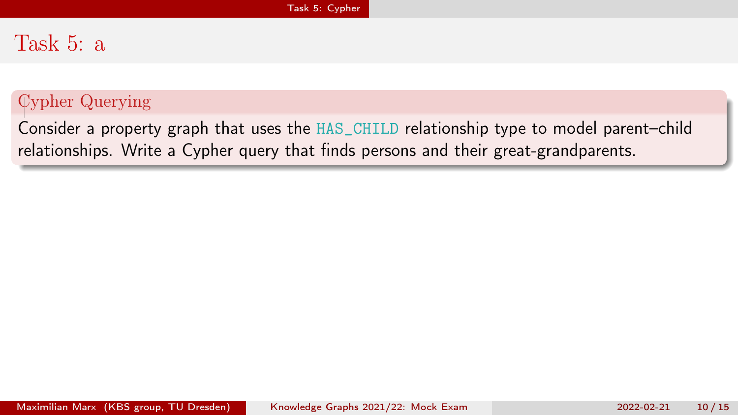## <span id="page-18-0"></span>Task 5: a

### Cypher Querying

Consider a property graph that uses the HAS\_CHILD relationship type to model parent–child relationships. Write a Cypher query that finds persons and their great-grandparents.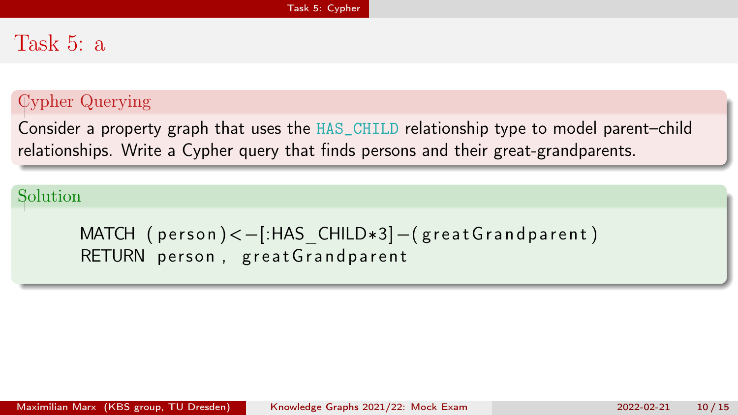### Task 5: a

### Cypher Querying

Consider a property graph that uses the HAS\_CHILD relationship type to model parent–child relationships. Write a Cypher query that finds persons and their great-grandparents.

### Solution

MATCH  $(\text{person}) < -$ [:HAS CHILD $*3$ ] – $(\text{great Grand parent})$ RETURN person, great Grandparent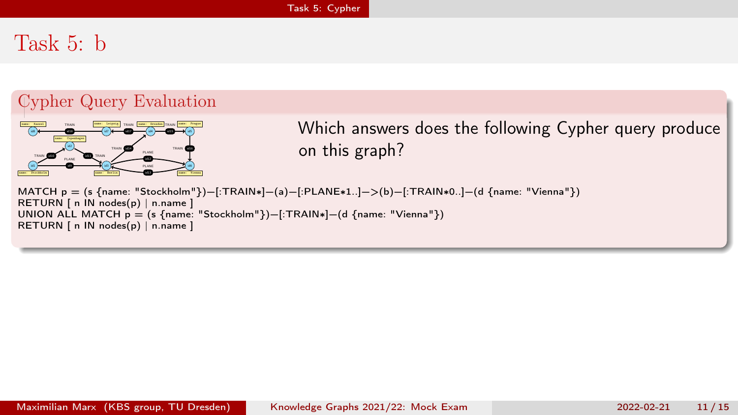## Task 5: b

### Cypher Query Evaluation



Which answers does the following Cypher query produce on this graph?

MATCH p = (s {name: "Stockholm"})−[:TRAIN∗]−(a)−[:PLANE∗1..]−>(b)−[:TRAIN∗0..]−(d {name: "Vienna"}) RETURN | n IN nodes(p) | n.name ] UNION ALL MATCH p = (s {name: "Stockholm"})−[:TRAIN∗]−(d {name: "Vienna"}) RETURN | n IN nodes(p) | n.name ]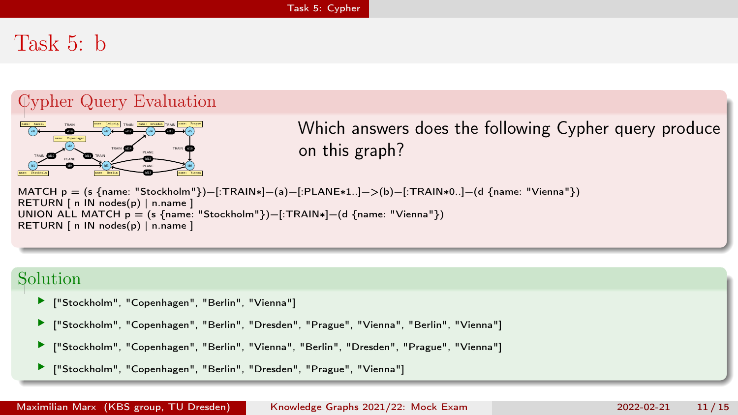## Task 5: b

### Cypher Query Evaluation



Which answers does the following Cypher query produce on this graph?

MATCH p = (s {name: "Stockholm"})−[:TRAIN∗]−(a)−[:PLANE∗1..]−>(b)−[:TRAIN∗0..]−(d {name: "Vienna"}) RETURN [ n IN nodes(p) | n.name ] UNION ALL MATCH p = (s {name: "Stockholm"})−[:TRAIN∗]−(d {name: "Vienna"}) RETURN | n IN nodes(p) | n.name ]

#### Solution

- ["Stockholm", "Copenhagen", "Berlin", "Vienna"]
- × ["Stockholm", "Copenhagen", "Berlin", "Dresden", "Prague", "Vienna", "Berlin", "Vienna"]
- ["Stockholm", "Copenhagen", "Berlin", "Vienna", "Berlin", "Dresden", "Prague", "Vienna"]
- ["Stockholm", "Copenhagen", "Berlin", "Dresden", "Prague", "Vienna"]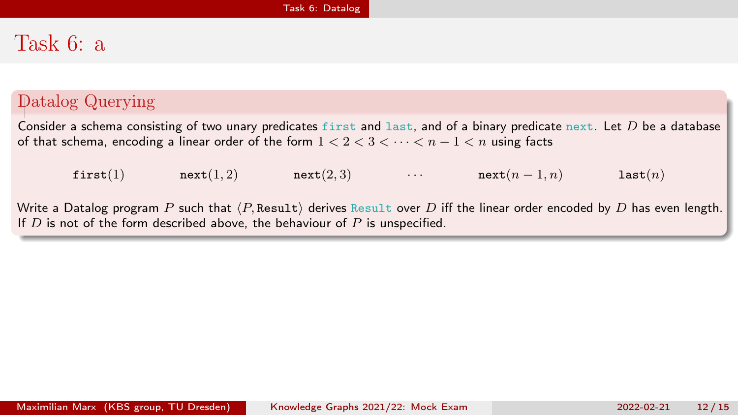# <span id="page-22-0"></span>Task 6: a

### Datalog Querying

Consider a schema consisting of two unary predicates first and last, and of a binary predicate next. Let  $D$  be a database of that schema, encoding a linear order of the form  $1 < 2 < 3 < \cdots < n - 1 < n$  using facts

first(1)  $next(1, 2)$   $next(2, 3)$   $...$   $next(n - 1, n)$  last(n)

Write a Datalog program P such that  $\langle P$ , Result) derives Result over D iff the linear order encoded by D has even length. If  $D$  is not of the form described above, the behaviour of  $P$  is unspecified.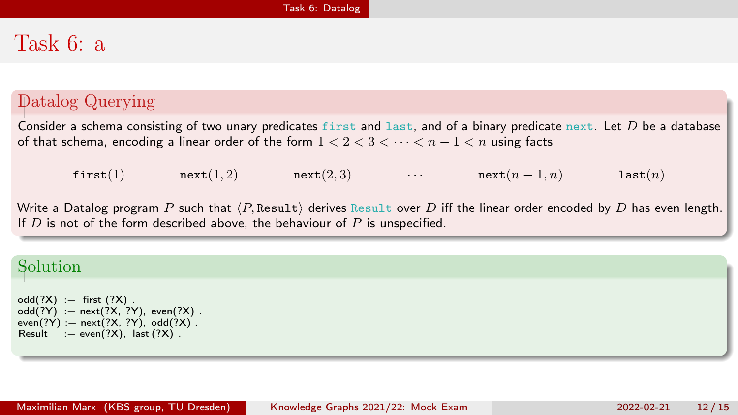# Task 6: a

### Datalog Querying

Consider a schema consisting of two unary predicates first and last, and of a binary predicate next. Let  $D$  be a database of that schema, encoding a linear order of the form  $1 < 2 < 3 < \cdots < n - 1 < n$  using facts

first(1)  $next(1, 2)$   $next(2, 3)$   $...$   $next(n - 1, n)$  last(n)

Write a Datalog program P such that  $\langle P$ , Result) derives Result over D iff the linear order encoded by D has even length. If  $D$  is not of the form described above, the behaviour of  $P$  is unspecified.

### Solution

 $odd(?X) := first (?X)$ . odd(?Y) :- next(?X, ?Y), even(?X).  $even(?Y) := next(?X, ?Y), odd(?X)$ .  $Result := even(?X)$ ,  $last(?X)$ .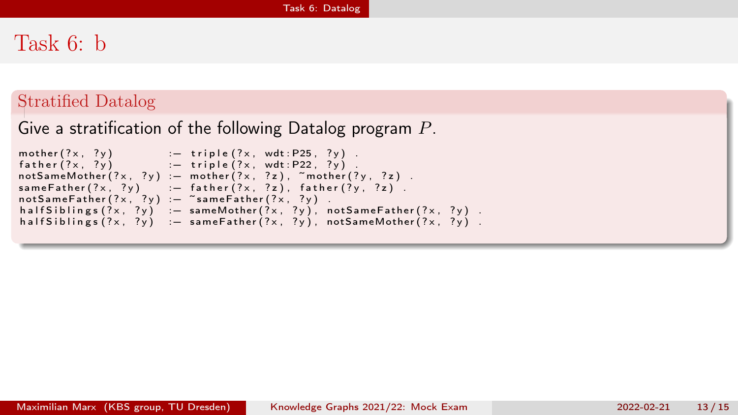# Task 6: b

#### Stratified Datalog

```
Give a stratification of the following Datalog program P.
```

```
\text{mother}(?x, ?y) :- triple(?x, wdt : P25, ?y).
\begin{array}{lll} \text{function} & (1, 2, 3) \\ \text{father} & (2 \times 1, 2 \times 2) \end{array} : \begin{array}{lll} \text{triple} & (2 \times 1, 2 \times 2 \times 2 \times 2) \end{array}notSameMother ( ?x, ?y) := mother ( ?x, ?z), mother ( ?y, ?z).
sameFather(?\times, ?y) : - father(?\times, ?z), father(?\times, ?z).
not SameFather( ?x, ?y) := "same Father( ?x, ?y).
h a l f S i b lings (?\times, ?\gamma) : - same Mother (?\times, ?\gamma), not Same Father (?\times, ?\gamma).
h alf Siblings (?\times, ?y) : - same Father (?\times, ?y), not Same Mother (?\times, ?y).
```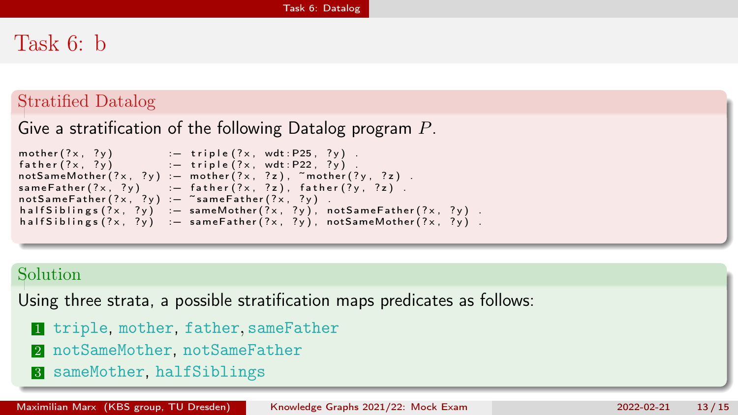# Task 6: b

#### Stratified Datalog

### Give a stratification of the following Datalog program P.

```
\text{mother}(?x, ?y) :- triple (?x, wdt : P25, ?y).
\begin{array}{lll} \text{function}(\{x, y\}) & \text{if} \quad \text{subject}(x, \text{matrix}, y) \\ \text{father}(?x, 2y) & \text{if} \quad \text{triple}(?x, \text{wdt} \text{.} \text{P22, } ?y) \end{array}notSameMother ( ?x, ?y) := mother ( ?x, ?z), mother ( ?y, ?z).
sameFather(?\times, ?y) : - father(?\times, ?z), father(?\times, ?z).
not SameFather(?\times, ?y) := \text{``sameFather(?x, ?y)}.
h a l f S i b lings (?\times, ?\gamma) : - same Mother (?\times, ?\gamma), not Same Father (?\times, ?\gamma).
half Siblings (?\times, ? \vee) : -\ same Father (?\times, ? \vee), not Same Mother (?\times, ? \vee).
```
#### Solution

Using three strata, a possible stratification maps predicates as follows:

- 1 triple, mother, father, sameFather
- 2 notSameMother, notSameFather
- 3 sameMother, halfSiblings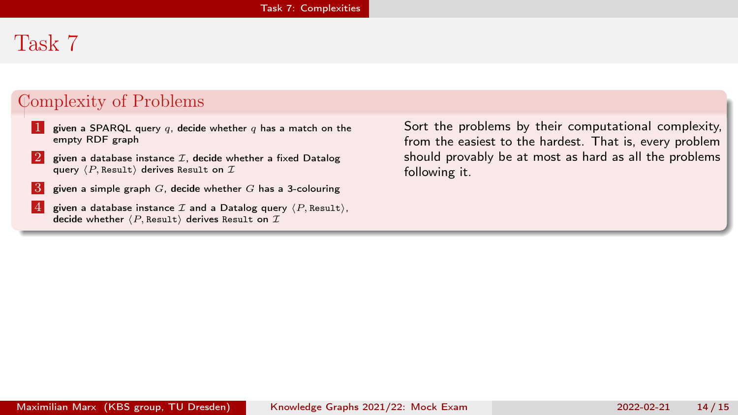# <span id="page-26-0"></span>Task 7

### Complexity of Problems

- 1 given a SPARQL query q, decide whether q has a match on the empty RDF graph
- 2 given a database instance  $\mathcal I$ , decide whether a fixed Datalog query  $\langle P$ , Result) derives Result on  $\mathcal{T}$ .
- $3$  given a simple graph G, decide whether G has a 3-colouring
- 4 given a database instance  $\mathcal I$  and a Datalog query  $\langle P$ , Result), decide whether  $\langle P$ , Result) derives Result on  $I$

Sort the problems by their computational complexity, from the easiest to the hardest. That is, every problem should provably be at most as hard as all the problems following it.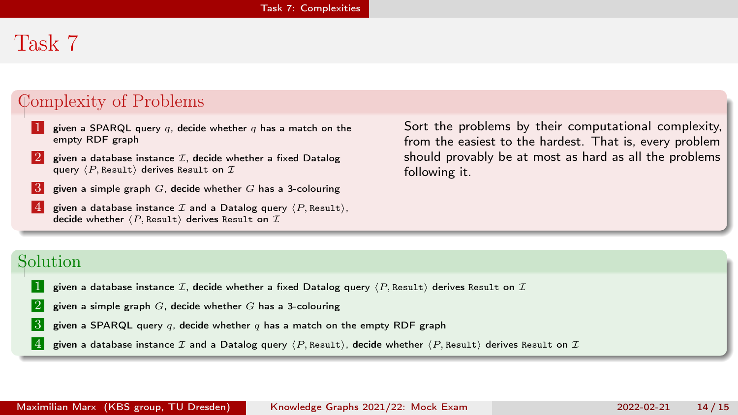# Task 7

### Complexity of Problems

- 1 given a SPARQL query q, decide whether q has a match on the empty RDF graph
- 2 given a database instance  $\mathcal I$ , decide whether a fixed Datalog query  $\langle P$ , Result) derives Result on T.
- $3$  given a simple graph G, decide whether G has a 3-colouring
- given a database instance  $\mathcal I$  and a Datalog query  $\langle P$ , Resulti, decide whether  $\langle P$ , Result) derives Result on  $\mathcal I$

Sort the problems by their computational complexity, from the easiest to the hardest. That is, every problem should provably be at most as hard as all the problems following it.

#### Solution

- 1 given a database instance  $\mathcal{I}$ , decide whether a fixed Datalog query  $\langle P$ , Result $\rangle$  derives Result on  $\mathcal{I}$
- 2 given a simple graph  $G$ , decide whether G has a 3-colouring
- **3** given a SPARQL query q, decide whether q has a match on the empty RDF graph
- 4 given a database instance  $I$  and a Datalog query  $\langle P$ , Result), decide whether  $\langle P$ , Result) derives Result on  $I$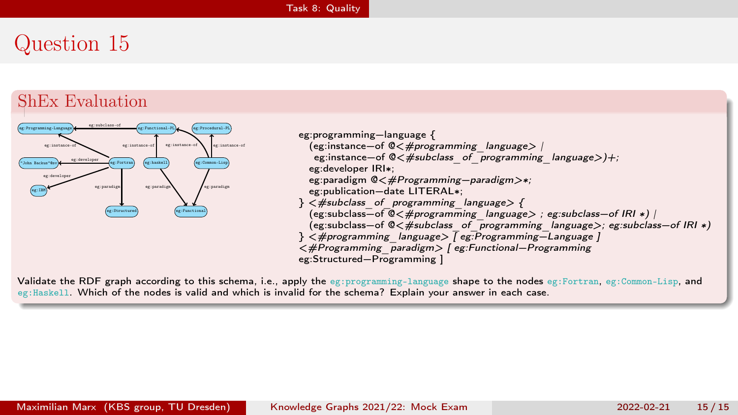### <span id="page-28-0"></span>ShEx Evaluation



Validate the RDF graph according to this schema, i.e., apply the eg:programming-language shape to the nodes eg:Fortran, eg:Common-Lisp, and eg:Haskell. Which of the nodes is valid and which is invalid for the schema? Explain your answer in each case.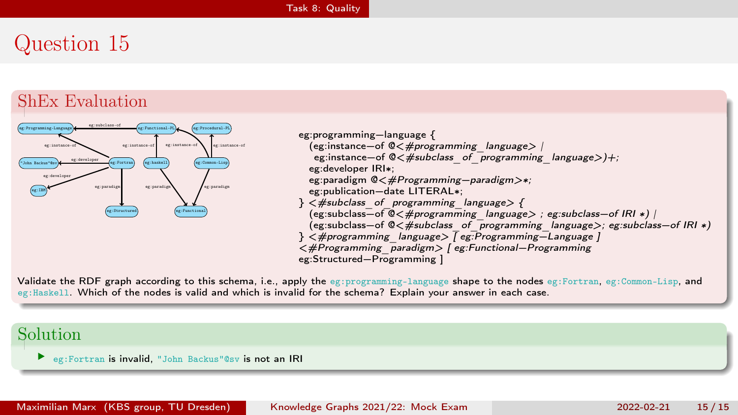### ShEx Evaluation



eg:programming−language { (eg:instance−of @<#programming\_language> | eg:instance-of @<#subclass\_of\_programming\_language>)+; eg:developer IRI∗; eg:paradigm @<#Programming-paradigm>∗; eg:publication−date LITERAL∗;  $\}$   $\langle$   $#$ subclass of programming language  $\rangle$  { (eg:subclass−of @<#programming\_language> ; eg:subclass−of IRI ∗) | (eg:subclass−of @<#subclass\_of\_programming\_language>; eg:subclass−of IRI ∗) } <#programming\_language> [ eg:Programming−Language ] <#Programming\_paradigm> [ eg:Functional−Programming eg:Structured−Programming ]

Validate the RDF graph according to this schema, i.e., apply the eg:programming-language shape to the nodes eg:Fortran, eg:Common-Lisp, and eg:Haskell. Which of the nodes is valid and which is invalid for the schema? Explain your answer in each case.

#### Solution

eg:Fortran is invalid, "John Backus"@sv is not an IRI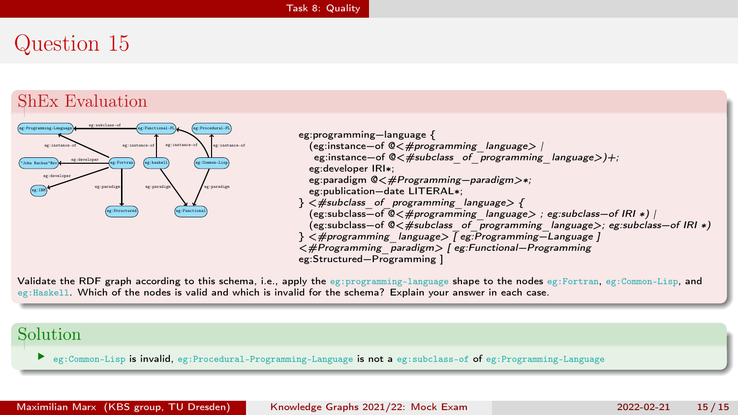### ShEx Evaluation



eg:programming−language { (eg:instance−of @<#programming\_language> | eg:instance-of @<#subclass\_of\_programming\_language>)+; eg:developer IRI∗; eg:paradigm @<#Programming-paradigm>∗; eg:publication−date LITERAL∗;  $\}$   $\langle$   $#$ subclass of programming language  $\rangle$  { (eg:subclass−of @<#programming\_language> ; eg:subclass−of IRI ∗) | (eg:subclass−of @<#subclass\_of\_programming\_language>; eg:subclass−of IRI ∗) } <#programming\_language> [ eg:Programming−Language ] <#Programming\_paradigm> [ eg:Functional−Programming eg:Structured−Programming ]

Validate the RDF graph according to this schema, i.e., apply the eg:programming-language shape to the nodes eg:Fortran, eg:Common-Lisp, and eg:Haskell. Which of the nodes is valid and which is invalid for the schema? Explain your answer in each case.

#### Solution

eg:Common-Lisp is invalid, eg:Procedural-Programming-Language is not a eg:subclass-of of eg:Programming-Language